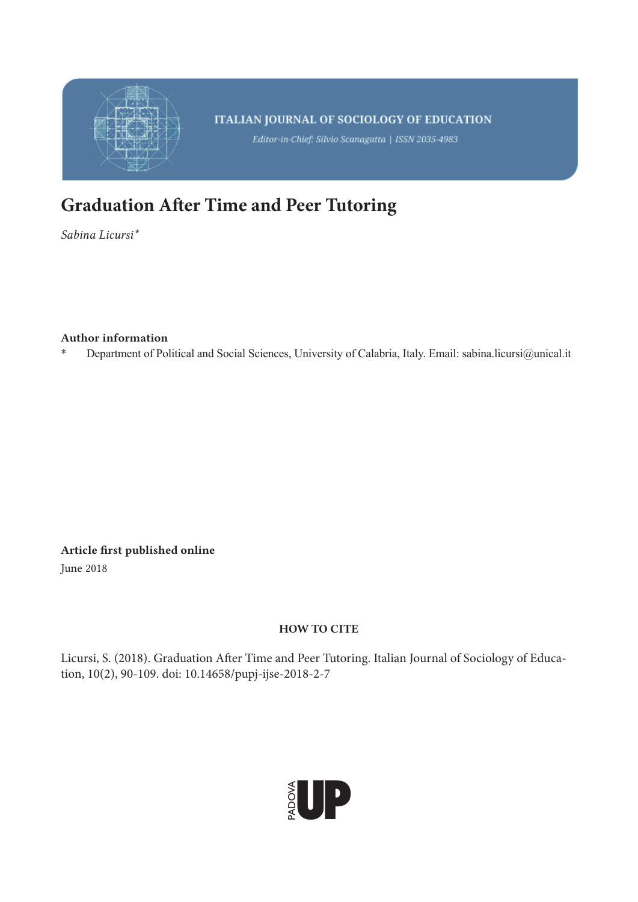

# **Graduation After Time and Peer Tutoring**

*Sabina Licursi\**

## Author information

\* Department of Political and Social Sciences, University of Calabria, Italy. Email: sabina.licursi@unical.it

Article first published online

June 2018

## HOW TO CITE

Licursi, S. (2018). Graduation After Time and Peer Tutoring. Italian Journal of Sociology of Education, 10(2), 90-109. doi: 10.14658/pupj-ijse-2018-2-7

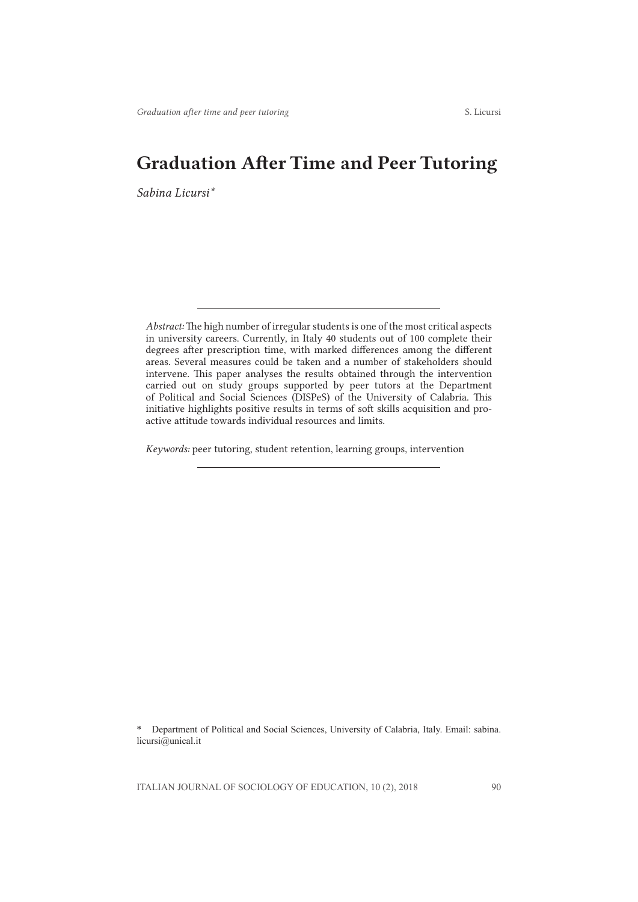## Graduation After Time and Peer Tutoring

*Sabina Licursi\**

*Keywords:* peer tutoring, student retention, learning groups, intervention

\* Department of Political and Social Sciences, University of Calabria, Italy. Email: sabina. licursi@unical.it

*Abstract:* The high number of irregular students is one of the most critical aspects in university careers. Currently, in Italy 40 students out of 100 complete their degrees after prescription time, with marked differences among the different areas. Several measures could be taken and a number of stakeholders should intervene. This paper analyses the results obtained through the intervention carried out on study groups supported by peer tutors at the Department of Political and Social Sciences (DISPeS) of the University of Calabria. This initiative highlights positive results in terms of soft skills acquisition and proactive attitude towards individual resources and limits.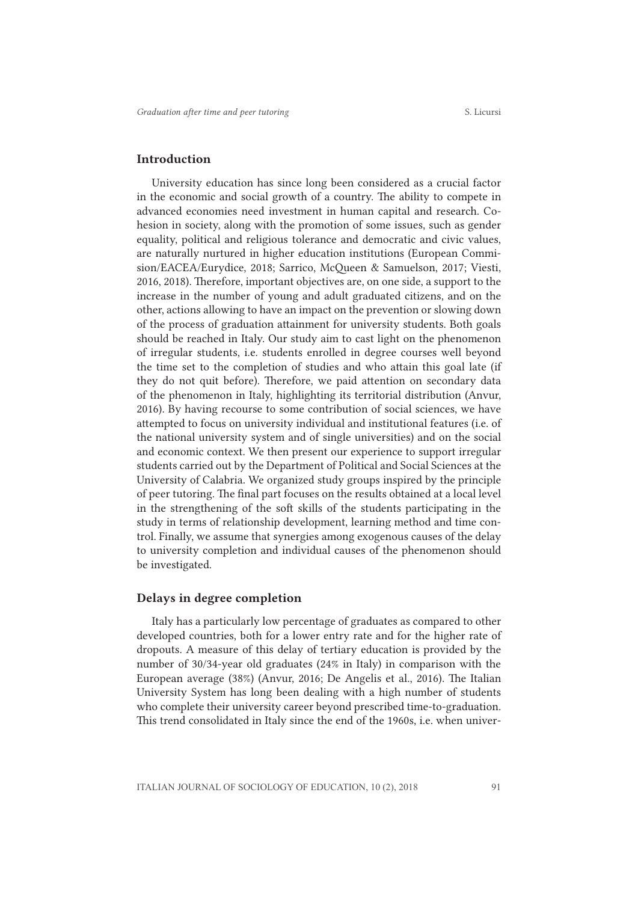#### Introduction

University education has since long been considered as a crucial factor in the economic and social growth of a country. The ability to compete in advanced economies need investment in human capital and research. Cohesion in society, along with the promotion of some issues, such as gender equality, political and religious tolerance and democratic and civic values, are naturally nurtured in higher education institutions (European Commision/EACEA/Eurydice, 2018; Sarrico, McQueen & Samuelson, 2017; Viesti, 2016, 2018). Therefore, important objectives are, on one side, a support to the increase in the number of young and adult graduated citizens, and on the other, actions allowing to have an impact on the prevention or slowing down of the process of graduation attainment for university students. Both goals should be reached in Italy. Our study aim to cast light on the phenomenon of irregular students, i.e. students enrolled in degree courses well beyond the time set to the completion of studies and who attain this goal late (if they do not quit before). Therefore, we paid attention on secondary data of the phenomenon in Italy, highlighting its territorial distribution (Anvur, 2016). By having recourse to some contribution of social sciences, we have attempted to focus on university individual and institutional features (i.e. of the national university system and of single universities) and on the social and economic context. We then present our experience to support irregular students carried out by the Department of Political and Social Sciences at the University of Calabria. We organized study groups inspired by the principle of peer tutoring. The final part focuses on the results obtained at a local level in the strengthening of the soft skills of the students participating in the study in terms of relationship development, learning method and time control. Finally, we assume that synergies among exogenous causes of the delay to university completion and individual causes of the phenomenon should be investigated.

#### Delays in degree completion

Italy has a particularly low percentage of graduates as compared to other developed countries, both for a lower entry rate and for the higher rate of dropouts. A measure of this delay of tertiary education is provided by the number of 30/34-year old graduates (24% in Italy) in comparison with the European average (38%) (Anvur, 2016; De Angelis et al., 2016). The Italian University System has long been dealing with a high number of students who complete their university career beyond prescribed time-to-graduation. This trend consolidated in Italy since the end of the 1960s, i.e. when univer-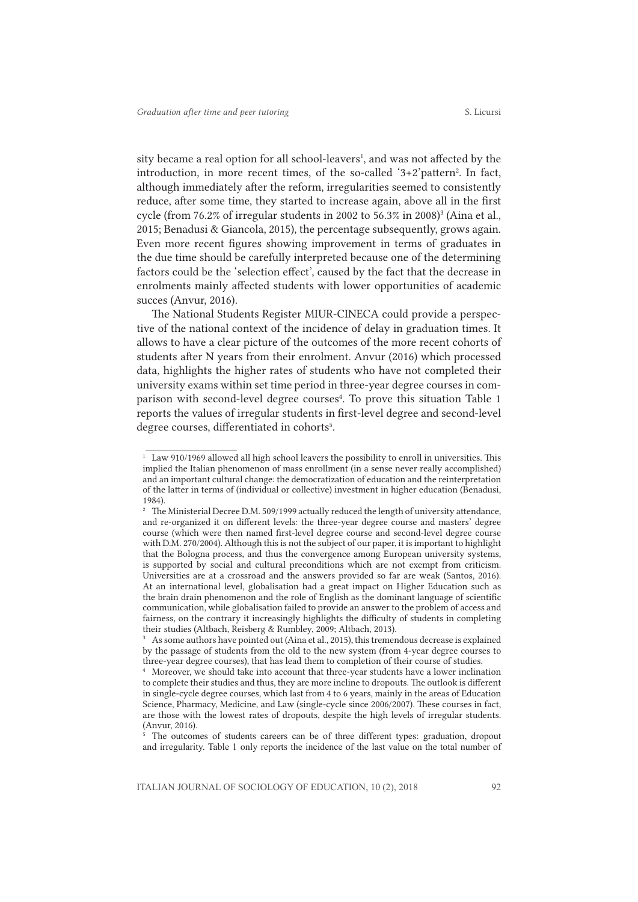sity became a real option for all school-leavers<sup>1</sup>, and was not affected by the introduction, in more recent times, of the so-called '3+2'pattern<sup>2</sup>. In fact, although immediately after the reform, irregularities seemed to consistently reduce, after some time, they started to increase again, above all in the first cycle (from 76.2% of irregular students in 2002 to 56.3% in 2008)<sup>3</sup> (Aina et al., 2015; Benadusi & Giancola, 2015), the percentage subsequently, grows again. Even more recent figures showing improvement in terms of graduates in the due time should be carefully interpreted because one of the determining factors could be the 'selection effect', caused by the fact that the decrease in enrolments mainly affected students with lower opportunities of academic succes (Anvur, 2016).

The National Students Register MIUR-CINECA could provide a perspective of the national context of the incidence of delay in graduation times. It allows to have a clear picture of the outcomes of the more recent cohorts of students after N years from their enrolment. Anvur (2016) which processed data, highlights the higher rates of students who have not completed their university exams within set time period in three-year degree courses in comparison with second-level degree courses<sup>4</sup>. To prove this situation Table 1 reports the values of irregular students in first-level degree and second-level degree courses, differentiated in cohorts<sup>5</sup>.

<sup>&</sup>lt;sup>1</sup> Law 910/1969 allowed all high school leavers the possibility to enroll in universities. This implied the Italian phenomenon of mass enrollment (in a sense never really accomplished) and an important cultural change: the democratization of education and the reinterpretation of the latter in terms of (individual or collective) investment in higher education (Benadusi, 1984).

<sup>&</sup>lt;sup>2</sup> The Ministerial Decree D.M. 509/1999 actually reduced the length of university attendance, and re-organized it on different levels: the three-year degree course and masters' degree course (which were then named first-level degree course and second-level degree course with D.M. 270/2004). Although this is not the subject of our paper, it is important to highlight that the Bologna process, and thus the convergence among European university systems, is supported by social and cultural preconditions which are not exempt from criticism. Universities are at a crossroad and the answers provided so far are weak (Santos, 2016). At an international level, globalisation had a great impact on Higher Education such as the brain drain phenomenon and the role of English as the dominant language of scientific communication, while globalisation failed to provide an answer to the problem of access and fairness, on the contrary it increasingly highlights the difficulty of students in completing their studies (Altbach, Reisberg & Rumbley, 2009; Altbach, 2013).

 $3<sup>3</sup>$  As some authors have pointed out (Aina et al., 2015), this tremendous decrease is explained by the passage of students from the old to the new system (from 4-year degree courses to three-year degree courses), that has lead them to completion of their course of studies.

<sup>4</sup> Moreover, we should take into account that three-year students have a lower inclination to complete their studies and thus, they are more incline to dropouts. The outlook is different in single-cycle degree courses, which last from 4 to 6 years, mainly in the areas of Education Science, Pharmacy, Medicine, and Law (single-cycle since 2006/2007). These courses in fact, are those with the lowest rates of dropouts, despite the high levels of irregular students. (Anvur, 2016).

<sup>&</sup>lt;sup>5</sup> The outcomes of students careers can be of three different types: graduation, dropout and irregularity. Table 1 only reports the incidence of the last value on the total number of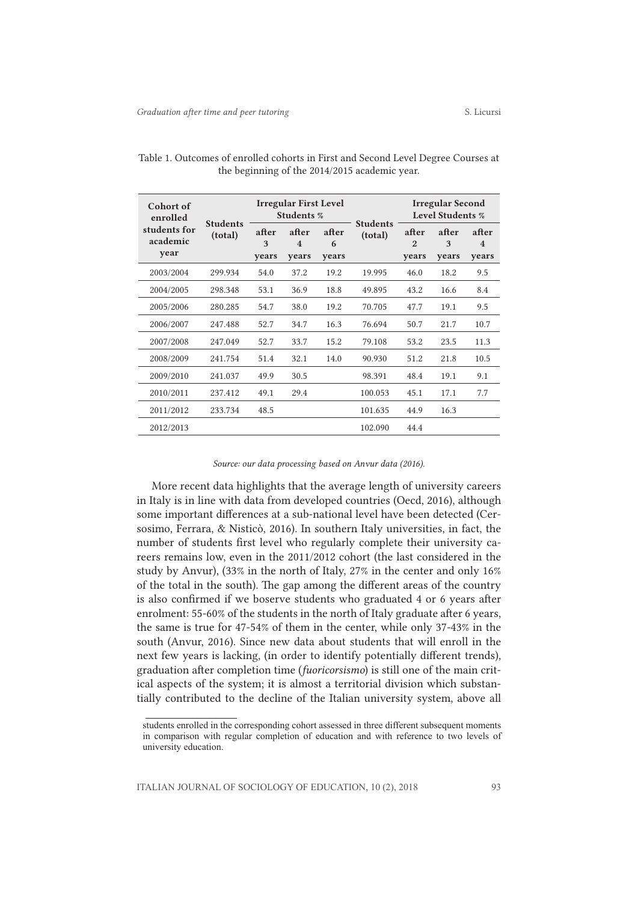| Cohort of<br>enrolled<br>students for<br>academic<br>year | <b>Students</b><br>(total) | <b>Irregular First Level</b><br>Students % |                                           |                     |                            | <b>Irregular Second</b><br><b>Level Students %</b> |                     |                     |
|-----------------------------------------------------------|----------------------------|--------------------------------------------|-------------------------------------------|---------------------|----------------------------|----------------------------------------------------|---------------------|---------------------|
|                                                           |                            | after<br>3<br>years                        | after<br>$\overline{\mathbf{4}}$<br>years | after<br>6<br>years | <b>Students</b><br>(total) | after<br>$\mathfrak{D}$<br>years                   | after<br>3<br>years | after<br>4<br>years |
| 2003/2004                                                 | 299.934                    | 54.0                                       | 37.2                                      | 19.2                | 19.995                     | 46.0                                               | 18.2                | 9.5                 |
| 2004/2005                                                 | 298.348                    | 53.1                                       | 36.9                                      | 18.8                | 49.895                     | 43.2                                               | 16.6                | 8.4                 |
| 2005/2006                                                 | 280.285                    | 54.7                                       | 38.0                                      | 19.2                | 70.705                     | 47.7                                               | 19.1                | 9.5                 |
| 2006/2007                                                 | 247.488                    | 52.7                                       | 34.7                                      | 16.3                | 76.694                     | 50.7                                               | 21.7                | 10.7                |
| 2007/2008                                                 | 247.049                    | 52.7                                       | 33.7                                      | 15.2                | 79.108                     | 53.2                                               | 23.5                | 11.3                |
| 2008/2009                                                 | 241.754                    | 51.4                                       | 32.1                                      | 14.0                | 90.930                     | 51.2                                               | 21.8                | 10.5                |
| 2009/2010                                                 | 241.037                    | 49.9                                       | 30.5                                      |                     | 98.391                     | 48.4                                               | 19.1                | 9.1                 |
| 2010/2011                                                 | 237.412                    | 49.1                                       | 29.4                                      |                     | 100.053                    | 45.1                                               | 17.1                | 7.7                 |
| 2011/2012                                                 | 233.734                    | 48.5                                       |                                           |                     | 101.635                    | 44.9                                               | 16.3                |                     |
| 2012/2013                                                 |                            |                                            |                                           |                     | 102.090                    | 44.4                                               |                     |                     |

Table 1. Outcomes of enrolled cohorts in First and Second Level Degree Courses at the beginning of the 2014/2015 academic year.

#### *Source: our data processing based on Anvur data (2016).*

More recent data highlights that the average length of university careers in Italy is in line with data from developed countries (Oecd, 2016), although some important differences at a sub-national level have been detected (Cersosimo, Ferrara, & Nisticò, 2016). In southern Italy universities, in fact, the number of students first level who regularly complete their university careers remains low, even in the 2011/2012 cohort (the last considered in the study by Anvur), (33% in the north of Italy, 27% in the center and only 16% of the total in the south). The gap among the different areas of the country is also confirmed if we boserve students who graduated 4 or 6 years after enrolment: 55-60% of the students in the north of Italy graduate after 6 years, the same is true for 47-54% of them in the center, while only 37-43% in the south (Anvur, 2016). Since new data about students that will enroll in the next few years is lacking, (in order to identify potentially different trends), graduation after completion time (*fuoricorsismo*) is still one of the main critical aspects of the system; it is almost a territorial division which substantially contributed to the decline of the Italian university system, above all

students enrolled in the corresponding cohort assessed in three different subsequent moments in comparison with regular completion of education and with reference to two levels of university education.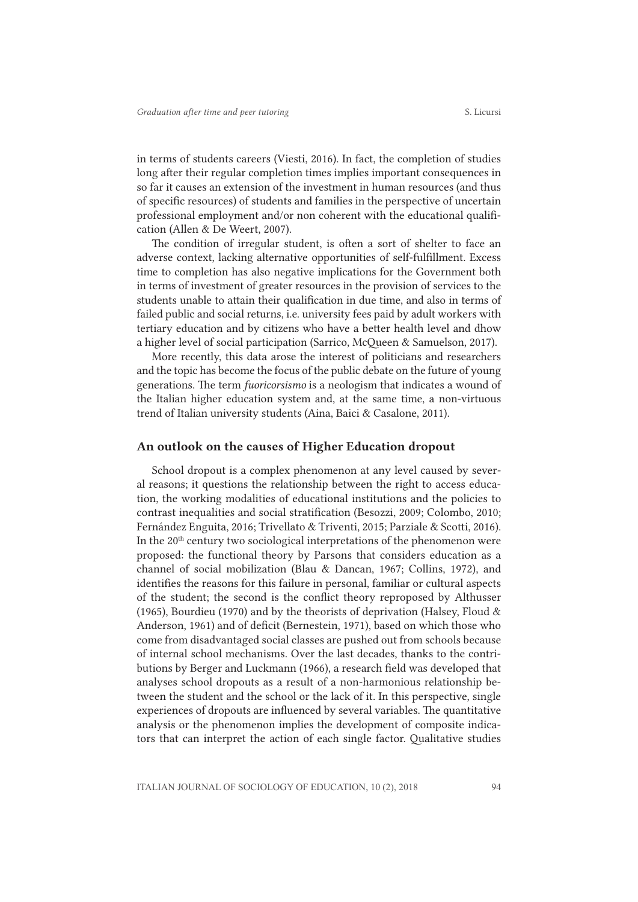in terms of students careers (Viesti, 2016). In fact, the completion of studies long after their regular completion times implies important consequences in so far it causes an extension of the investment in human resources (and thus of specific resources) of students and families in the perspective of uncertain professional employment and/or non coherent with the educational qualification (Allen & De Weert, 2007).

The condition of irregular student, is often a sort of shelter to face an adverse context, lacking alternative opportunities of self-fulfillment. Excess time to completion has also negative implications for the Government both in terms of investment of greater resources in the provision of services to the students unable to attain their qualification in due time, and also in terms of failed public and social returns, i.e. university fees paid by adult workers with tertiary education and by citizens who have a better health level and dhow a higher level of social participation (Sarrico, McQueen & Samuelson, 2017).

More recently, this data arose the interest of politicians and researchers and the topic has become the focus of the public debate on the future of young generations. The term *fuoricorsismo* is a neologism that indicates a wound of the Italian higher education system and, at the same time, a non-virtuous trend of Italian university students (Aina, Baici & Casalone, 2011).

#### An outlook on the causes of Higher Education dropout

School dropout is a complex phenomenon at any level caused by several reasons; it questions the relationship between the right to access education, the working modalities of educational institutions and the policies to contrast inequalities and social stratification (Besozzi, 2009; Colombo, 2010; Fernández Enguita, 2016; Trivellato & Triventi, 2015; Parziale & Scotti, 2016). In the  $20<sup>th</sup>$  century two sociological interpretations of the phenomenon were proposed: the functional theory by Parsons that considers education as a channel of social mobilization (Blau & Dancan, 1967; Collins, 1972), and identifies the reasons for this failure in personal, familiar or cultural aspects of the student; the second is the conflict theory reproposed by Althusser (1965), Bourdieu (1970) and by the theorists of deprivation (Halsey, Floud & Anderson, 1961) and of deficit (Bernestein, 1971), based on which those who come from disadvantaged social classes are pushed out from schools because of internal school mechanisms. Over the last decades, thanks to the contributions by Berger and Luckmann (1966), a research field was developed that analyses school dropouts as a result of a non-harmonious relationship between the student and the school or the lack of it. In this perspective, single experiences of dropouts are influenced by several variables. The quantitative analysis or the phenomenon implies the development of composite indicators that can interpret the action of each single factor. Qualitative studies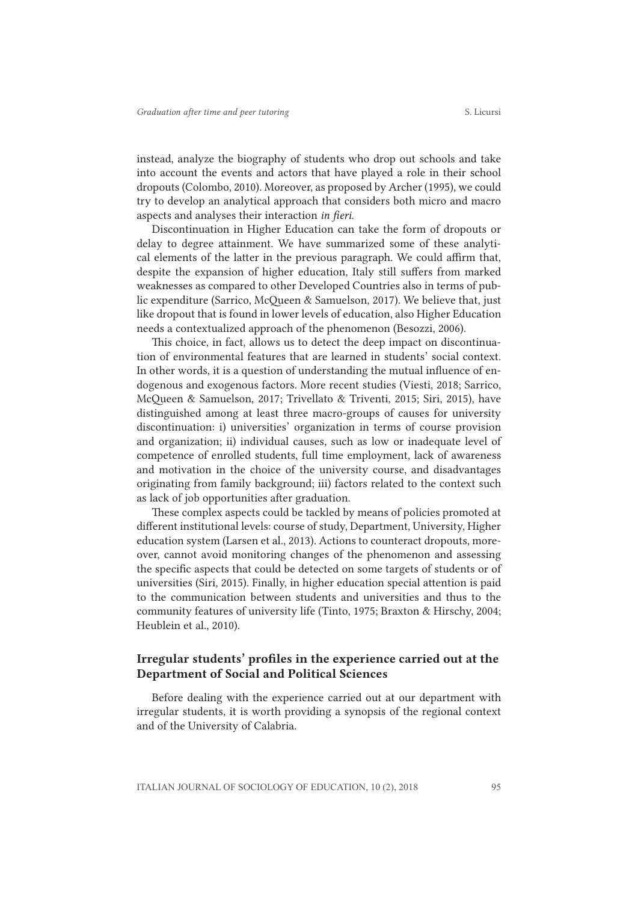instead, analyze the biography of students who drop out schools and take into account the events and actors that have played a role in their school dropouts (Colombo, 2010). Moreover, as proposed by Archer (1995), we could try to develop an analytical approach that considers both micro and macro aspects and analyses their interaction *in fieri*.

Discontinuation in Higher Education can take the form of dropouts or delay to degree attainment. We have summarized some of these analytical elements of the latter in the previous paragraph. We could affirm that, despite the expansion of higher education, Italy still suffers from marked weaknesses as compared to other Developed Countries also in terms of public expenditure (Sarrico, McQueen & Samuelson, 2017). We believe that, just like dropout that is found in lower levels of education, also Higher Education needs a contextualized approach of the phenomenon (Besozzi, 2006).

This choice, in fact, allows us to detect the deep impact on discontinuation of environmental features that are learned in students' social context. In other words, it is a question of understanding the mutual influence of endogenous and exogenous factors. More recent studies (Viesti, 2018; Sarrico, McQueen & Samuelson, 2017; Trivellato & Triventi, 2015; Siri, 2015), have distinguished among at least three macro-groups of causes for university discontinuation: i) universities' organization in terms of course provision and organization; ii) individual causes, such as low or inadequate level of competence of enrolled students, full time employment, lack of awareness and motivation in the choice of the university course, and disadvantages originating from family background; iii) factors related to the context such as lack of job opportunities after graduation.

These complex aspects could be tackled by means of policies promoted at different institutional levels: course of study, Department, University, Higher education system (Larsen et al., 2013). Actions to counteract dropouts, moreover, cannot avoid monitoring changes of the phenomenon and assessing the specific aspects that could be detected on some targets of students or of universities (Siri, 2015). Finally, in higher education special attention is paid to the communication between students and universities and thus to the community features of university life (Tinto, 1975; Braxton & Hirschy, 2004; Heublein et al., 2010).

## Irregular students' profiles in the experience carried out at the Department of Social and Political Sciences

Before dealing with the experience carried out at our department with irregular students, it is worth providing a synopsis of the regional context and of the University of Calabria.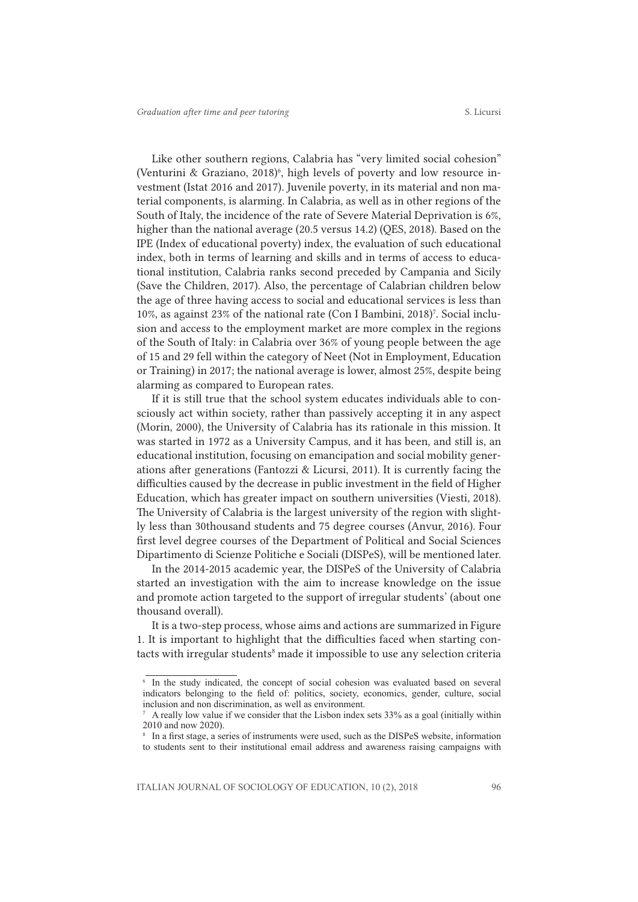Like other southern regions, Calabria has "very limited social cohesion" (Venturini & Graziano, 2018)<sup>6</sup>, high levels of poverty and low resource investment (Istat 2016 and 2017). Juvenile poverty, in its material and non material components, is alarming. In Calabria, as well as in other regions of the South of Italy, the incidence of the rate of Severe Material Deprivation is 6%, higher than the national average (20.5 versus 14.2) (QES, 2018). Based on the IPE (Index of educational poverty) index, the evaluation of such educational index, both in terms of learning and skills and in terms of access to educational institution, Calabria ranks second preceded by Campania and Sicily (Save the Children, 2017). Also, the percentage of Calabrian children below the age of three having access to social and educational services is less than 10%, as against 23% of the national rate (Con I Bambini, 2018)7 . Social inclusion and access to the employment market are more complex in the regions of the South of Italy: in Calabria over 36% of young people between the age of 15 and 29 fell within the category of Neet (Not in Employment, Education or Training) in 2017; the national average is lower, almost 25%, despite being alarming as compared to European rates.

If it is still true that the school system educates individuals able to consciously act within society, rather than passively accepting it in any aspect (Morin, 2000), the University of Calabria has its rationale in this mission. It was started in 1972 as a University Campus, and it has been, and still is, an educational institution, focusing on emancipation and social mobility generations after generations (Fantozzi & Licursi, 2011). It is currently facing the difficulties caused by the decrease in public investment in the field of Higher Education, which has greater impact on southern universities (Viesti, 2018). The University of Calabria is the largest university of the region with slightly less than 30thousand students and 75 degree courses (Anvur, 2016). Four first level degree courses of the Department of Political and Social Sciences Dipartimento di Scienze Politiche e Sociali (DISPeS), will be mentioned later.

In the 2014-2015 academic year, the DISPeS of the University of Calabria started an investigation with the aim to increase knowledge on the issue and promote action targeted to the support of irregular students' (about one thousand overall).

It is a two-step process, whose aims and actions are summarized in Figure 1. It is important to highlight that the difficulties faced when starting contacts with irregular students<sup>8</sup> made it impossible to use any selection criteria

<sup>6</sup> In the study indicated, the concept of social cohesion was evaluated based on several indicators belonging to the field of: politics, society, economics, gender, culture, social inclusion and non discrimination, as well as environment.

<sup>7</sup> A really low value if we consider that the Lisbon index sets 33% as a goal (initially within 2010 and now 2020).

<sup>&</sup>lt;sup>8</sup> In a first stage, a series of instruments were used, such as the DISPeS website, information to students sent to their institutional email address and awareness raising campaigns with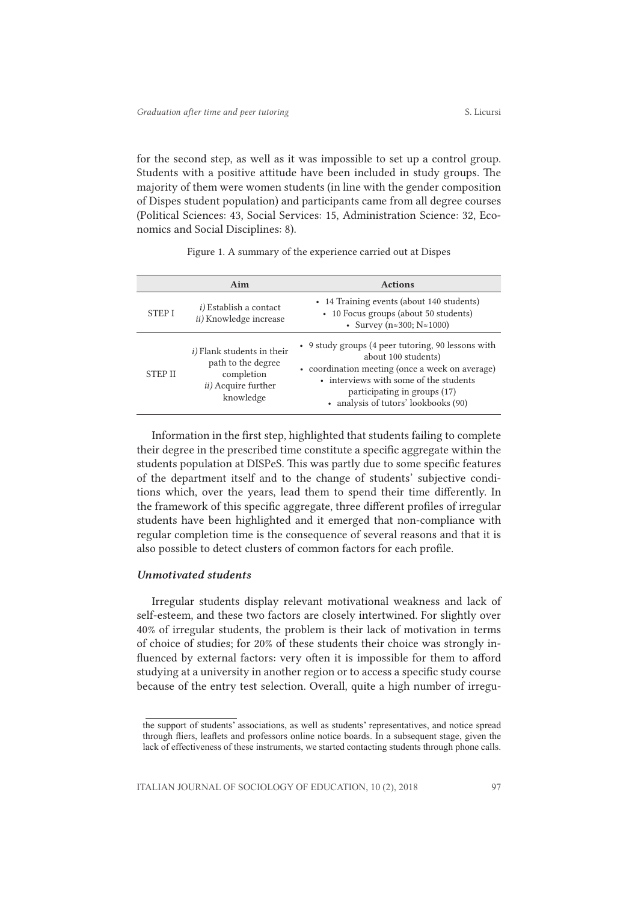for the second step, as well as it was impossible to set up a control group. Students with a positive attitude have been included in study groups. The majority of them were women students (in line with the gender composition of Dispes student population) and participants came from all degree courses (Political Sciences: 43, Social Services: 15, Administration Science: 32, Economics and Social Disciplines: 8).

| Figure 1. A summary of the experience carried out at Dispes |  |  |  |  |  |  |
|-------------------------------------------------------------|--|--|--|--|--|--|
|-------------------------------------------------------------|--|--|--|--|--|--|

|                | Aim                                                                                                                | <b>Actions</b>                                                                                                                                                                                                                                 |
|----------------|--------------------------------------------------------------------------------------------------------------------|------------------------------------------------------------------------------------------------------------------------------------------------------------------------------------------------------------------------------------------------|
| <b>STEPI</b>   | <i>i</i> ) Establish a contact<br><i>ii</i> ) Knowledge increase                                                   | • 14 Training events (about 140 students)<br>• 10 Focus groups (about 50 students)<br>• Survey ( $n \approx 300$ ; $N \approx 1000$ )                                                                                                          |
| <b>STEP II</b> | <i>i</i> ) Flank students in their<br>path to the degree<br>completion<br><i>ii</i> ) Acquire further<br>knowledge | • 9 study groups (4 peer tutoring, 90 lessons with<br>about 100 students)<br>• coordination meeting (once a week on average)<br>• interviews with some of the students<br>participating in groups (17)<br>• analysis of tutors' lookbooks (90) |

Information in the first step, highlighted that students failing to complete their degree in the prescribed time constitute a specific aggregate within the students population at DISPeS. This was partly due to some specific features of the department itself and to the change of students' subjective conditions which, over the years, lead them to spend their time differently. In the framework of this specific aggregate, three different profiles of irregular students have been highlighted and it emerged that non-compliance with regular completion time is the consequence of several reasons and that it is also possible to detect clusters of common factors for each profile.

#### *Unmotivated students*

Irregular students display relevant motivational weakness and lack of self-esteem, and these two factors are closely intertwined. For slightly over 40% of irregular students, the problem is their lack of motivation in terms of choice of studies; for 20% of these students their choice was strongly influenced by external factors: very often it is impossible for them to afford studying at a university in another region or to access a specific study course because of the entry test selection. Overall, quite a high number of irregu-

the support of students' associations, as well as students' representatives, and notice spread through fliers, leaflets and professors online notice boards. In a subsequent stage, given the lack of effectiveness of these instruments, we started contacting students through phone calls.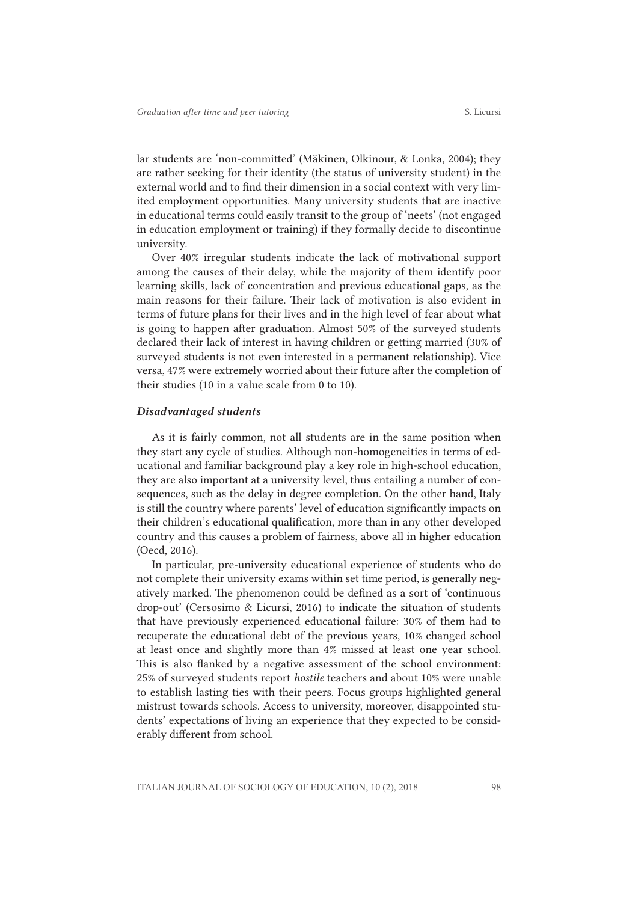lar students are 'non-committed' (Mäkinen, Olkinour, & Lonka, 2004); they are rather seeking for their identity (the status of university student) in the external world and to find their dimension in a social context with very limited employment opportunities. Many university students that are inactive in educational terms could easily transit to the group of 'neets' (not engaged in education employment or training) if they formally decide to discontinue university.

Over 40% irregular students indicate the lack of motivational support among the causes of their delay, while the majority of them identify poor learning skills, lack of concentration and previous educational gaps, as the main reasons for their failure. Their lack of motivation is also evident in terms of future plans for their lives and in the high level of fear about what is going to happen after graduation. Almost 50% of the surveyed students declared their lack of interest in having children or getting married (30% of surveyed students is not even interested in a permanent relationship). Vice versa, 47% were extremely worried about their future after the completion of their studies (10 in a value scale from 0 to 10).

#### *Disadvantaged students*

As it is fairly common, not all students are in the same position when they start any cycle of studies. Although non-homogeneities in terms of educational and familiar background play a key role in high-school education, they are also important at a university level, thus entailing a number of consequences, such as the delay in degree completion. On the other hand, Italy is still the country where parents' level of education significantly impacts on their children's educational qualification, more than in any other developed country and this causes a problem of fairness, above all in higher education (Oecd, 2016).

In particular, pre-university educational experience of students who do not complete their university exams within set time period, is generally negatively marked. The phenomenon could be defined as a sort of 'continuous drop-out' (Cersosimo & Licursi, 2016) to indicate the situation of students that have previously experienced educational failure: 30% of them had to recuperate the educational debt of the previous years, 10% changed school at least once and slightly more than 4% missed at least one year school. This is also flanked by a negative assessment of the school environment: 25% of surveyed students report *hostile* teachers and about 10% were unable to establish lasting ties with their peers. Focus groups highlighted general mistrust towards schools. Access to university, moreover, disappointed students' expectations of living an experience that they expected to be considerably different from school.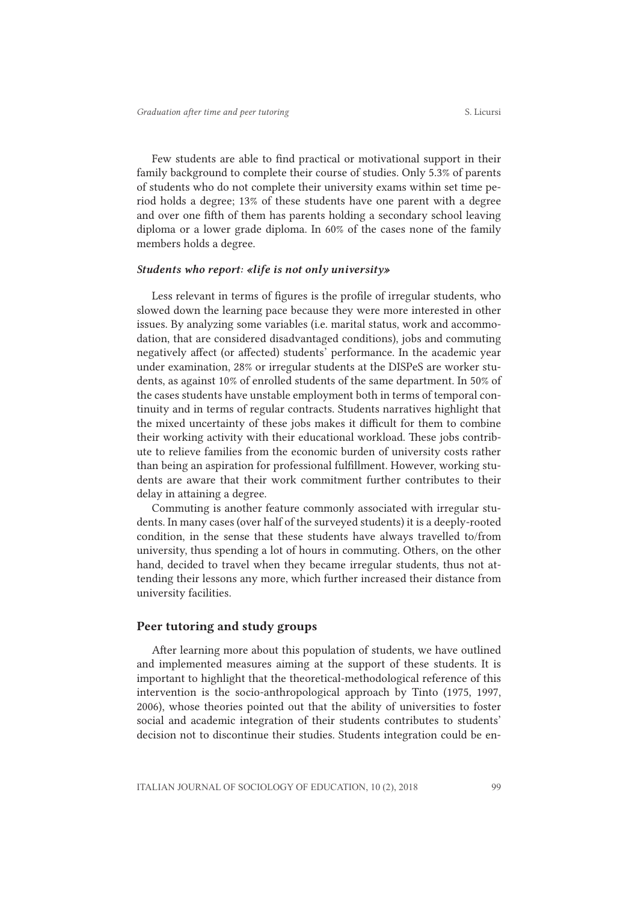Few students are able to find practical or motivational support in their family background to complete their course of studies. Only 5.3% of parents of students who do not complete their university exams within set time period holds a degree; 13% of these students have one parent with a degree and over one fifth of them has parents holding a secondary school leaving diploma or a lower grade diploma. In 60% of the cases none of the family members holds a degree.

#### *Students who report: «life is not only university»*

Less relevant in terms of figures is the profile of irregular students, who slowed down the learning pace because they were more interested in other issues. By analyzing some variables (i.e. marital status, work and accommodation, that are considered disadvantaged conditions), jobs and commuting negatively affect (or affected) students' performance. In the academic year under examination, 28% or irregular students at the DISPeS are worker students, as against 10% of enrolled students of the same department. In 50% of the cases students have unstable employment both in terms of temporal continuity and in terms of regular contracts. Students narratives highlight that the mixed uncertainty of these jobs makes it difficult for them to combine their working activity with their educational workload. These jobs contribute to relieve families from the economic burden of university costs rather than being an aspiration for professional fulfillment. However, working students are aware that their work commitment further contributes to their delay in attaining a degree.

Commuting is another feature commonly associated with irregular students. In many cases (over half of the surveyed students) it is a deeply-rooted condition, in the sense that these students have always travelled to/from university, thus spending a lot of hours in commuting. Others, on the other hand, decided to travel when they became irregular students, thus not attending their lessons any more, which further increased their distance from university facilities.

### Peer tutoring and study groups

After learning more about this population of students, we have outlined and implemented measures aiming at the support of these students. It is important to highlight that the theoretical-methodological reference of this intervention is the socio-anthropological approach by Tinto (1975, 1997, 2006), whose theories pointed out that the ability of universities to foster social and academic integration of their students contributes to students' decision not to discontinue their studies. Students integration could be en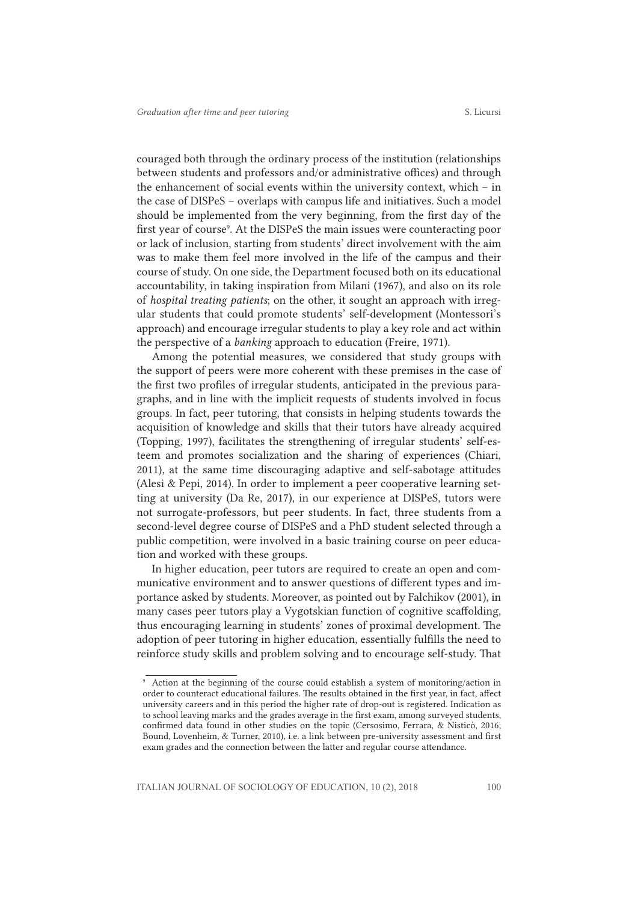couraged both through the ordinary process of the institution (relationships between students and professors and/or administrative offices) and through the enhancement of social events within the university context, which – in the case of DISPeS – overlaps with campus life and initiatives. Such a model should be implemented from the very beginning, from the first day of the first year of course<sup>9</sup>. At the DISPeS the main issues were counteracting poor or lack of inclusion, starting from students' direct involvement with the aim was to make them feel more involved in the life of the campus and their course of study. On one side, the Department focused both on its educational accountability, in taking inspiration from Milani (1967), and also on its role of *hospital treating patients*; on the other, it sought an approach with irregular students that could promote students' self-development (Montessori's approach) and encourage irregular students to play a key role and act within the perspective of a *banking* approach to education (Freire, 1971).

Among the potential measures, we considered that study groups with the support of peers were more coherent with these premises in the case of the first two profiles of irregular students, anticipated in the previous paragraphs, and in line with the implicit requests of students involved in focus groups. In fact, peer tutoring, that consists in helping students towards the acquisition of knowledge and skills that their tutors have already acquired (Topping, 1997), facilitates the strengthening of irregular students' self-esteem and promotes socialization and the sharing of experiences (Chiari, 2011), at the same time discouraging adaptive and self-sabotage attitudes (Alesi & Pepi, 2014). In order to implement a peer cooperative learning setting at university (Da Re, 2017), in our experience at DISPeS, tutors were not surrogate-professors, but peer students. In fact, three students from a second-level degree course of DISPeS and a PhD student selected through a public competition, were involved in a basic training course on peer education and worked with these groups.

In higher education, peer tutors are required to create an open and communicative environment and to answer questions of different types and importance asked by students. Moreover, as pointed out by Falchikov (2001), in many cases peer tutors play a Vygotskian function of cognitive scaffolding, thus encouraging learning in students' zones of proximal development. The adoption of peer tutoring in higher education, essentially fulfills the need to reinforce study skills and problem solving and to encourage self-study. That

<sup>9</sup> Action at the beginning of the course could establish a system of monitoring/action in order to counteract educational failures. The results obtained in the first year, in fact, affect university careers and in this period the higher rate of drop-out is registered. Indication as to school leaving marks and the grades average in the first exam, among surveyed students, confirmed data found in other studies on the topic (Cersosimo, Ferrara, & Nisticò, 2016; Bound, Lovenheim, & Turner, 2010), i.e. a link between pre-university assessment and first exam grades and the connection between the latter and regular course attendance.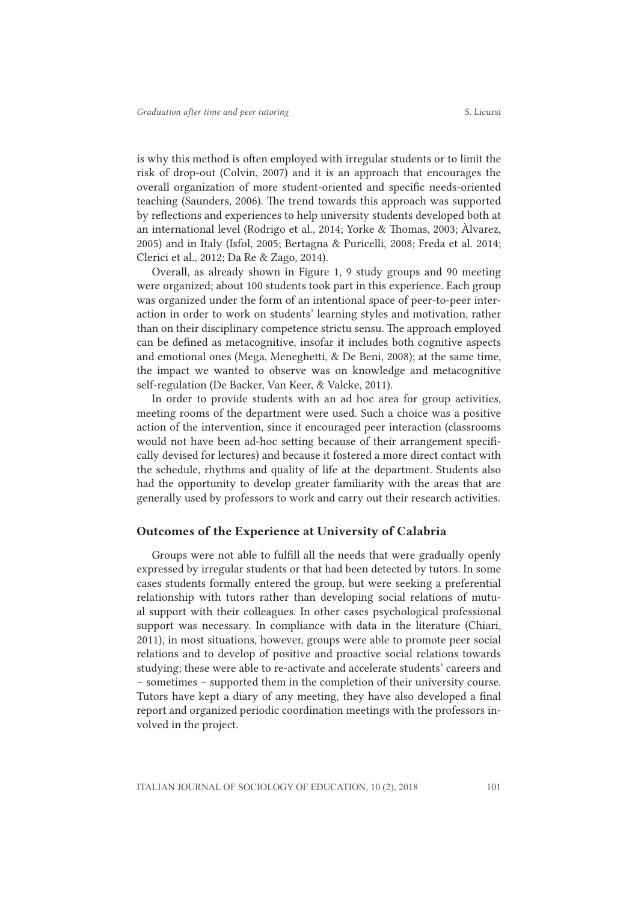is why this method is often employed with irregular students or to limit the risk of drop-out (Colvin, 2007) and it is an approach that encourages the overall organization of more student-oriented and specific needs-oriented teaching (Saunders, 2006). The trend towards this approach was supported by reflections and experiences to help university students developed both at an international level (Rodrigo et al., 2014; Yorke & Thomas, 2003; Àlvarez, 2005) and in Italy (Isfol, 2005; Bertagna & Puricelli, 2008; Freda et al. 2014; Clerici et al., 2012; Da Re & Zago, 2014).

Overall, as already shown in Figure 1, 9 study groups and 90 meeting were organized; about 100 students took part in this experience. Each group was organized under the form of an intentional space of peer-to-peer interaction in order to work on students' learning styles and motivation, rather than on their disciplinary competence strictu sensu. The approach employed can be defined as metacognitive, insofar it includes both cognitive aspects and emotional ones (Mega, Meneghetti, & De Beni, 2008); at the same time, the impact we wanted to observe was on knowledge and metacognitive self-regulation (De Backer, Van Keer, & Valcke, 2011).

In order to provide students with an ad hoc area for group activities, meeting rooms of the department were used. Such a choice was a positive action of the intervention, since it encouraged peer interaction (classrooms would not have been ad-hoc setting because of their arrangement specifically devised for lectures) and because it fostered a more direct contact with the schedule, rhythms and quality of life at the department. Students also had the opportunity to develop greater familiarity with the areas that are generally used by professors to work and carry out their research activities.

#### Outcomes of the Experience at University of Calabria

Groups were not able to fulfill all the needs that were gradually openly expressed by irregular students or that had been detected by tutors. In some cases students formally entered the group, but were seeking a preferential relationship with tutors rather than developing social relations of mutual support with their colleagues. In other cases psychological professional support was necessary. In compliance with data in the literature (Chiari, 2011), in most situations, however, groups were able to promote peer social relations and to develop of positive and proactive social relations towards studying; these were able to re-activate and accelerate students' careers and – sometimes – supported them in the completion of their university course. Tutors have kept a diary of any meeting, they have also developed a final report and organized periodic coordination meetings with the professors involved in the project.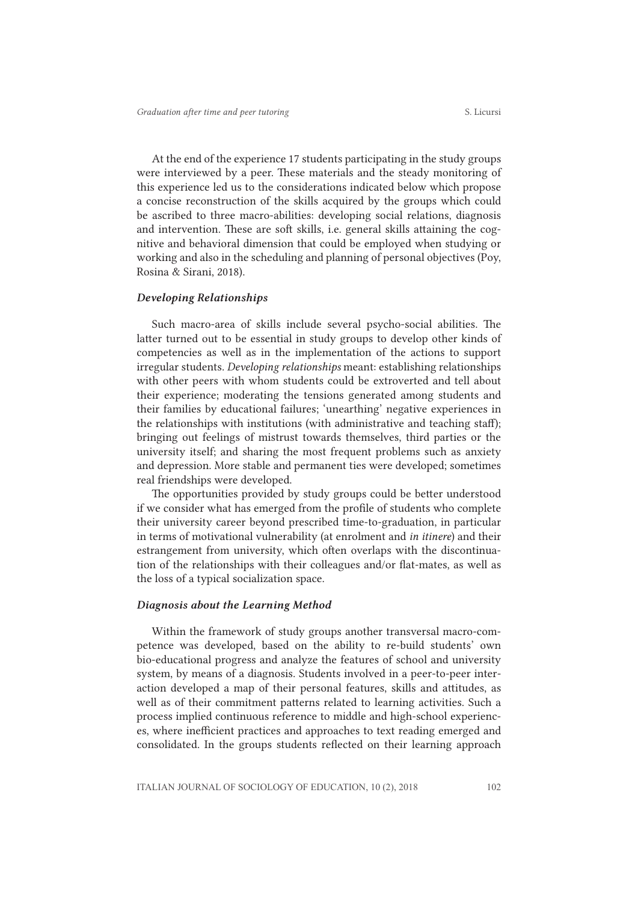At the end of the experience 17 students participating in the study groups were interviewed by a peer. These materials and the steady monitoring of this experience led us to the considerations indicated below which propose a concise reconstruction of the skills acquired by the groups which could be ascribed to three macro-abilities: developing social relations, diagnosis and intervention. These are soft skills, i.e. general skills attaining the cognitive and behavioral dimension that could be employed when studying or working and also in the scheduling and planning of personal objectives (Poy, Rosina & Sirani, 2018).

#### *Developing Relationships*

Such macro-area of skills include several psycho-social abilities. The latter turned out to be essential in study groups to develop other kinds of competencies as well as in the implementation of the actions to support irregular students. *Developing relationships* meant: establishing relationships with other peers with whom students could be extroverted and tell about their experience; moderating the tensions generated among students and their families by educational failures; 'unearthing' negative experiences in the relationships with institutions (with administrative and teaching staff); bringing out feelings of mistrust towards themselves, third parties or the university itself; and sharing the most frequent problems such as anxiety and depression. More stable and permanent ties were developed; sometimes real friendships were developed.

The opportunities provided by study groups could be better understood if we consider what has emerged from the profile of students who complete their university career beyond prescribed time-to-graduation, in particular in terms of motivational vulnerability (at enrolment and *in itinere*) and their estrangement from university, which often overlaps with the discontinuation of the relationships with their colleagues and/or flat-mates, as well as the loss of a typical socialization space.

#### *Diagnosis about the Learning Method*

Within the framework of study groups another transversal macro-competence was developed, based on the ability to re-build students' own bio-educational progress and analyze the features of school and university system, by means of a diagnosis. Students involved in a peer-to-peer interaction developed a map of their personal features, skills and attitudes, as well as of their commitment patterns related to learning activities. Such a process implied continuous reference to middle and high-school experiences, where inefficient practices and approaches to text reading emerged and consolidated. In the groups students reflected on their learning approach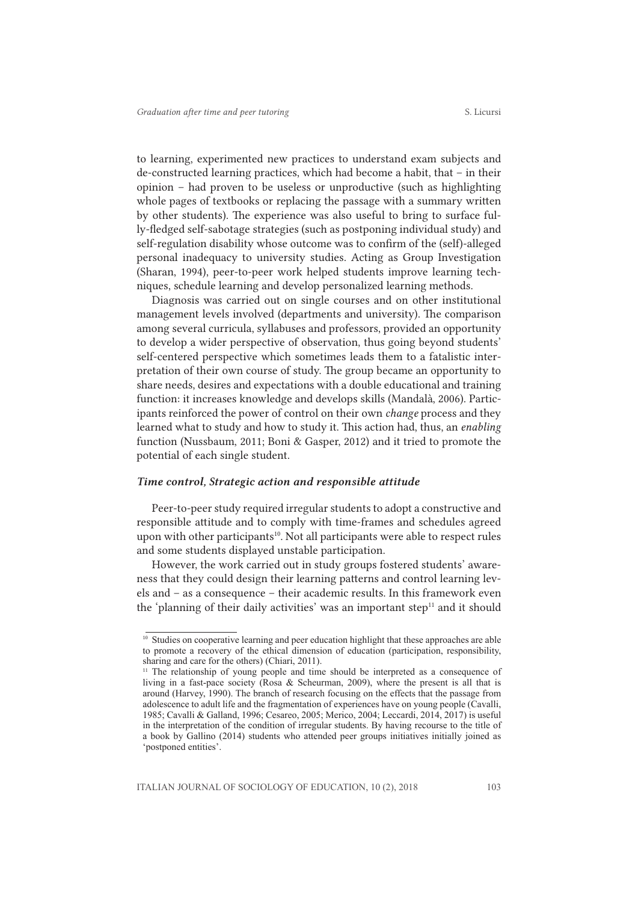to learning, experimented new practices to understand exam subjects and de-constructed learning practices, which had become a habit, that – in their opinion – had proven to be useless or unproductive (such as highlighting whole pages of textbooks or replacing the passage with a summary written by other students). The experience was also useful to bring to surface fully-fledged self-sabotage strategies (such as postponing individual study) and self-regulation disability whose outcome was to confirm of the (self)-alleged personal inadequacy to university studies. Acting as Group Investigation (Sharan, 1994), peer-to-peer work helped students improve learning techniques, schedule learning and develop personalized learning methods.

Diagnosis was carried out on single courses and on other institutional management levels involved (departments and university). The comparison among several curricula, syllabuses and professors, provided an opportunity to develop a wider perspective of observation, thus going beyond students' self-centered perspective which sometimes leads them to a fatalistic interpretation of their own course of study. The group became an opportunity to share needs, desires and expectations with a double educational and training function: it increases knowledge and develops skills (Mandalà, 2006). Participants reinforced the power of control on their own *change* process and they learned what to study and how to study it. This action had, thus, an *enabling* function (Nussbaum, 2011; Boni & Gasper, 2012) and it tried to promote the potential of each single student.

#### *Time control, Strategic action and responsible attitude*

Peer-to-peer study required irregular students to adopt a constructive and responsible attitude and to comply with time-frames and schedules agreed upon with other participants<sup>10</sup>. Not all participants were able to respect rules and some students displayed unstable participation.

However, the work carried out in study groups fostered students' awareness that they could design their learning patterns and control learning levels and – as a consequence – their academic results. In this framework even the 'planning of their daily activities' was an important step $11$  and it should

<sup>&</sup>lt;sup>10</sup> Studies on cooperative learning and peer education highlight that these approaches are able to promote a recovery of the ethical dimension of education (participation, responsibility, sharing and care for the others) (Chiari, 2011).

<sup>&</sup>lt;sup>11</sup> The relationship of young people and time should be interpreted as a consequence of living in a fast-pace society (Rosa & Scheurman, 2009), where the present is all that is around (Harvey, 1990). The branch of research focusing on the effects that the passage from adolescence to adult life and the fragmentation of experiences have on young people (Cavalli, 1985; Cavalli & Galland, 1996; Cesareo, 2005; Merico, 2004; Leccardi, 2014, 2017) is useful in the interpretation of the condition of irregular students. By having recourse to the title of a book by Gallino (2014) students who attended peer groups initiatives initially joined as 'postponed entities'.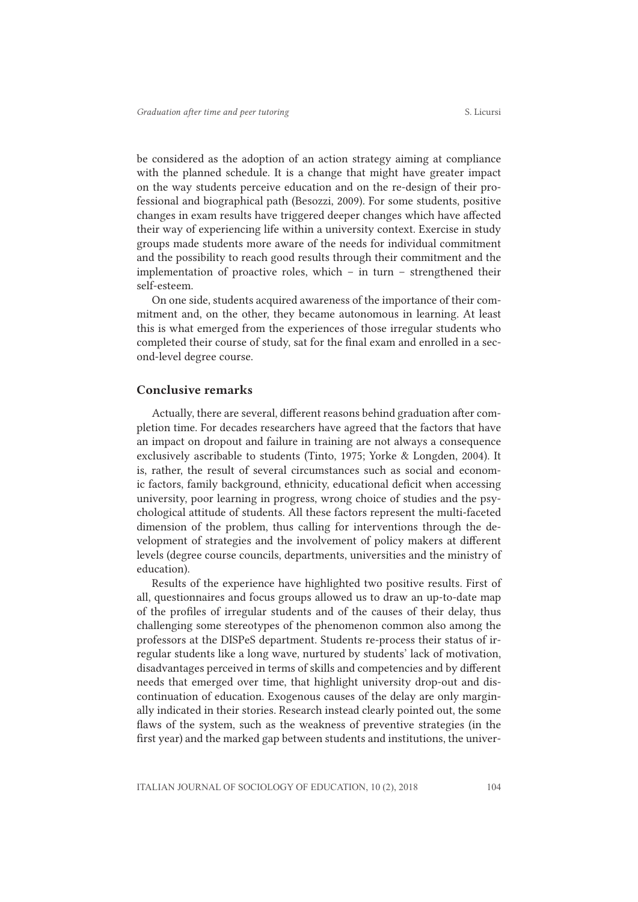be considered as the adoption of an action strategy aiming at compliance with the planned schedule. It is a change that might have greater impact on the way students perceive education and on the re-design of their professional and biographical path (Besozzi, 2009). For some students, positive changes in exam results have triggered deeper changes which have affected their way of experiencing life within a university context. Exercise in study groups made students more aware of the needs for individual commitment and the possibility to reach good results through their commitment and the implementation of proactive roles, which – in turn – strengthened their self-esteem.

On one side, students acquired awareness of the importance of their commitment and, on the other, they became autonomous in learning. At least this is what emerged from the experiences of those irregular students who completed their course of study, sat for the final exam and enrolled in a second-level degree course.

#### Conclusive remarks

Actually, there are several, different reasons behind graduation after completion time. For decades researchers have agreed that the factors that have an impact on dropout and failure in training are not always a consequence exclusively ascribable to students (Tinto, 1975; Yorke & Longden, 2004). It is, rather, the result of several circumstances such as social and economic factors, family background, ethnicity, educational deficit when accessing university, poor learning in progress, wrong choice of studies and the psychological attitude of students. All these factors represent the multi-faceted dimension of the problem, thus calling for interventions through the development of strategies and the involvement of policy makers at different levels (degree course councils, departments, universities and the ministry of education).

Results of the experience have highlighted two positive results. First of all, questionnaires and focus groups allowed us to draw an up-to-date map of the profiles of irregular students and of the causes of their delay, thus challenging some stereotypes of the phenomenon common also among the professors at the DISPeS department. Students re-process their status of irregular students like a long wave, nurtured by students' lack of motivation, disadvantages perceived in terms of skills and competencies and by different needs that emerged over time, that highlight university drop-out and discontinuation of education. Exogenous causes of the delay are only marginally indicated in their stories. Research instead clearly pointed out, the some flaws of the system, such as the weakness of preventive strategies (in the first year) and the marked gap between students and institutions, the univer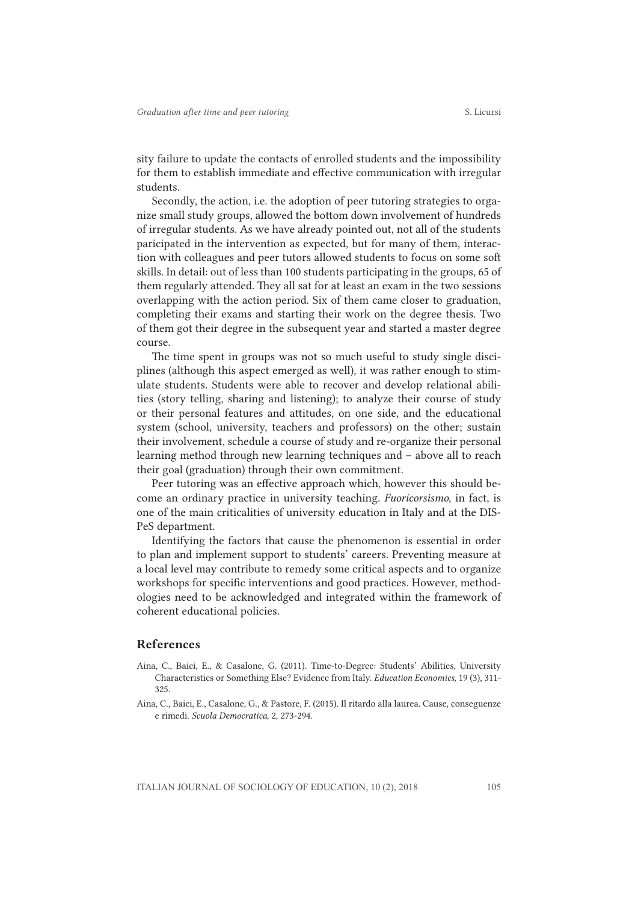sity failure to update the contacts of enrolled students and the impossibility for them to establish immediate and effective communication with irregular students.

Secondly, the action, i.e. the adoption of peer tutoring strategies to organize small study groups, allowed the bottom down involvement of hundreds of irregular students. As we have already pointed out, not all of the students paricipated in the intervention as expected, but for many of them, interaction with colleagues and peer tutors allowed students to focus on some soft skills. In detail: out of less than 100 students participating in the groups, 65 of them regularly attended. They all sat for at least an exam in the two sessions overlapping with the action period. Six of them came closer to graduation, completing their exams and starting their work on the degree thesis. Two of them got their degree in the subsequent year and started a master degree course.

The time spent in groups was not so much useful to study single disciplines (although this aspect emerged as well), it was rather enough to stimulate students. Students were able to recover and develop relational abilities (story telling, sharing and listening); to analyze their course of study or their personal features and attitudes, on one side, and the educational system (school, university, teachers and professors) on the other; sustain their involvement, schedule a course of study and re-organize their personal learning method through new learning techniques and – above all to reach their goal (graduation) through their own commitment.

Peer tutoring was an effective approach which, however this should become an ordinary practice in university teaching. *Fuoricorsismo*, in fact, is one of the main criticalities of university education in Italy and at the DIS-PeS department.

Identifying the factors that cause the phenomenon is essential in order to plan and implement support to students' careers. Preventing measure at a local level may contribute to remedy some critical aspects and to organize workshops for specific interventions and good practices. However, methodologies need to be acknowledged and integrated within the framework of coherent educational policies.

#### References

- Aina, C., Baici, E., & Casalone, G. (2011). Time-to-Degree: Students' Abilities, University Characteristics or Something Else? Evidence from Italy. *Education Economics*, 19 (3), 311- 325.
- Aina, C., Baici, E., Casalone, G., & Pastore, F. (2015). Il ritardo alla laurea. Cause, conseguenze e rimedi. *Scuola Democratica*, 2, 273-294.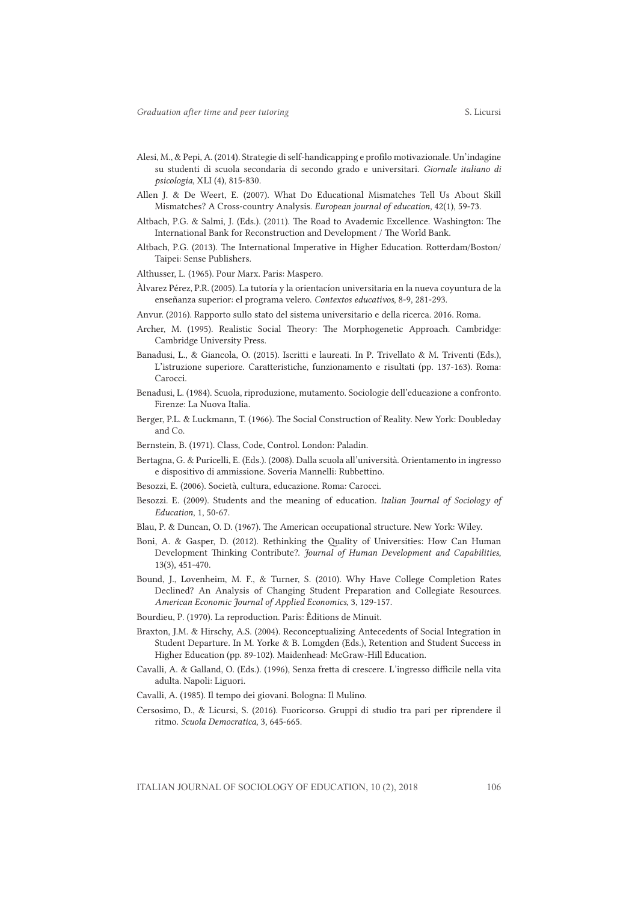- 
- Alesi, M., & Pepi, A. (2014). Strategie di self-handicapping e profilo motivazionale. Un'indagine su studenti di scuola secondaria di secondo grado e universitari. *Giornale italiano di psicologia*, XLI (4), 815-830.
- Allen J. & De Weert, E. (2007). What Do Educational Mismatches Tell Us About Skill Mismatches? A Cross-country Analysis. *European journal of education,* 42(1), 59-73.
- Altbach, P.G. & Salmi, J. (Eds.). (2011). The Road to Avademic Excellence. Washington: The International Bank for Reconstruction and Development / The World Bank.
- Altbach, P.G. (2013). The International Imperative in Higher Education. Rotterdam/Boston/ Taipei: Sense Publishers.
- Althusser, L. (1965). Pour Marx. Paris: Maspero.
- Àlvarez Pérez, P.R. (2005). La tutoría y la orientacíon universitaria en la nueva coyuntura de la enseñanza superior: el programa velero. *Contextos educativos*, 8-9, 281-293.
- Anvur. (2016). Rapporto sullo stato del sistema universitario e della ricerca. 2016. Roma.
- Archer, M. (1995). Realistic Social Theory: The Morphogenetic Approach. Cambridge: Cambridge University Press.
- Banadusi, L., & Giancola, O. (2015). Iscritti e laureati. In P. Trivellato & M. Triventi (Eds.), L'istruzione superiore. Caratteristiche, funzionamento e risultati (pp. 137-163). Roma: Carocci.
- Benadusi, L. (1984). Scuola, riproduzione, mutamento. Sociologie dell'educazione a confronto. Firenze: La Nuova Italia.
- Berger, P.L. & Luckmann, T. (1966). The Social Construction of Reality. New York: Doubleday and Co.
- Bernstein, B. (1971). Class, Code, Control. London: Paladin.
- Bertagna, G. & Puricelli, E. (Eds.). (2008). Dalla scuola all'università. Orientamento in ingresso e dispositivo di ammissione. Soveria Mannelli: Rubbettino.
- Besozzi, E. (2006). Società, cultura, educazione. Roma: Carocci.
- Besozzi. E. (2009). Students and the meaning of education. *Italian Journal of Sociology of Education*, 1, 50-67.
- Blau, P. & Duncan, O. D. (1967). The American occupational structure. New York: Wiley.
- Boni, A. & Gasper, D. (2012). Rethinking the Quality of Universities: How Can Human Development Thinking Contribute?. *Journal of Human Development and Capabilities*, 13(3), 451-470.
- Bound, J., Lovenheim, M. F., & Turner, S. (2010). Why Have College Completion Rates Declined? An Analysis of Changing Student Preparation and Collegiate Resources. *American Economic Journal of Applied Economics*, 3, 129-157.
- Bourdieu, P. (1970). La reproduction. Paris: Èditions de Minuit.
- Braxton, J.M. & Hirschy, A.S. (2004). Reconceptualizing Antecedents of Social Integration in Student Departure*.* In M. Yorke & B. Lomgden (Eds.), Retention and Student Success in Higher Education (pp. 89-102). Maidenhead: McGraw-Hill Education.
- Cavalli, A. & Galland, O. (Eds.). (1996), Senza fretta di crescere. L'ingresso difficile nella vita adulta. Napoli: Liguori.
- Cavalli, A. (1985). Il tempo dei giovani. Bologna: Il Mulino.
- Cersosimo, D., & Licursi, S. (2016). Fuoricorso. Gruppi di studio tra pari per riprendere il ritmo. *Scuola Democratica*, 3, 645-665.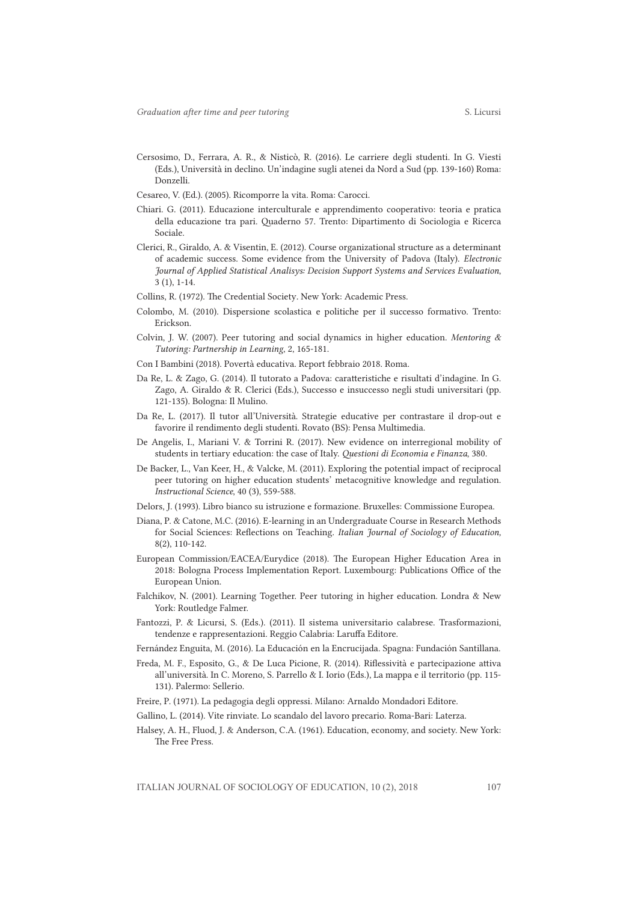- Cersosimo, D., Ferrara, A. R., & Nisticò, R. (2016). Le carriere degli studenti. In G. Viesti (Eds.), Università in declino. Un'indagine sugli atenei da Nord a Sud (pp. 139-160) Roma: Donzelli.
- Cesareo, V. (Ed.). (2005). Ricomporre la vita. Roma: Carocci.
- Chiari. G. (2011). Educazione interculturale e apprendimento cooperativo: teoria e pratica della educazione tra pari. Quaderno 57. Trento: Dipartimento di Sociologia e Ricerca Sociale.
- Clerici, R., Giraldo, A. & Visentin, E. (2012). Course organizational structure as a determinant of academic success. Some evidence from the University of Padova (Italy). *Electronic Journal of Applied Statistical Analisys: Decision Support Systems and Services Evaluation*, 3 (1), 1-14.
- Collins, R. (1972). The Credential Society*.* New York: Academic Press.
- Colombo, M. (2010). Dispersione scolastica e politiche per il successo formativo. Trento: Erickson.
- Colvin, J. W. (2007). Peer tutoring and social dynamics in higher education. *Mentoring & Tutoring: Partnership in Learning*, 2, 165-181.
- Con I Bambini (2018). Povertà educativa. Report febbraio 2018. Roma.
- Da Re, L. & Zago, G. (2014). Il tutorato a Padova: caratteristiche e risultati d'indagine. In G. Zago, A. Giraldo & R. Clerici (Eds.), Successo e insuccesso negli studi universitari (pp. 121-135). Bologna: Il Mulino.
- Da Re, L. (2017). Il tutor all'Università. Strategie educative per contrastare il drop-out e favorire il rendimento degli studenti. Rovato (BS): Pensa Multimedia.
- De Angelis, I., Mariani V. & Torrini R. (2017). New evidence on interregional mobility of students in tertiary education: the case of Italy. *Questioni di Economia e Finanza*, 380.
- De Backer, L., Van Keer, H., & Valcke, M. (2011). Exploring the potential impact of reciprocal peer tutoring on higher education students' metacognitive knowledge and regulation. *Instructional Science*, 40 (3), 559-588.
- Delors, J. (1993). Libro bianco su istruzione e formazione. Bruxelles: Commissione Europea.
- Diana, P. & Catone, M.C. (2016). E-learning in an Undergraduate Course in Research Methods for Social Sciences: Reflections on Teaching. *Italian Journal of Sociology of Education,*  8(2), 110-142.
- European Commission/EACEA/Eurydice (2018). The European Higher Education Area in 2018: Bologna Process Implementation Report. Luxembourg: Publications Office of the European Union.
- Falchikov, N. (2001). Learning Together. Peer tutoring in higher education. Londra & New York: Routledge Falmer.
- Fantozzi, P. & Licursi, S. (Eds.). (2011). Il sistema universitario calabrese. Trasformazioni, tendenze e rappresentazioni. Reggio Calabria: Laruffa Editore.
- Fernández Enguita, M. (2016). La Educación en la Encrucijada. Spagna: Fundación Santillana.
- Freda, M. F., Esposito, G., & De Luca Picione, R. (2014). Riflessività e partecipazione attiva all'università. In C. Moreno, S. Parrello & I. Iorio (Eds.), La mappa e il territorio (pp. 115- 131). Palermo: Sellerio.
- Freire, P. (1971). La pedagogia degli oppressi. Milano: Arnaldo Mondadori Editore.
- Gallino, L. (2014). Vite rinviate. Lo scandalo del lavoro precario. Roma-Bari: Laterza.
- Halsey, A. H., Fluod, J. & Anderson, C.A. (1961). Education, economy, and society. New York: The Free Press.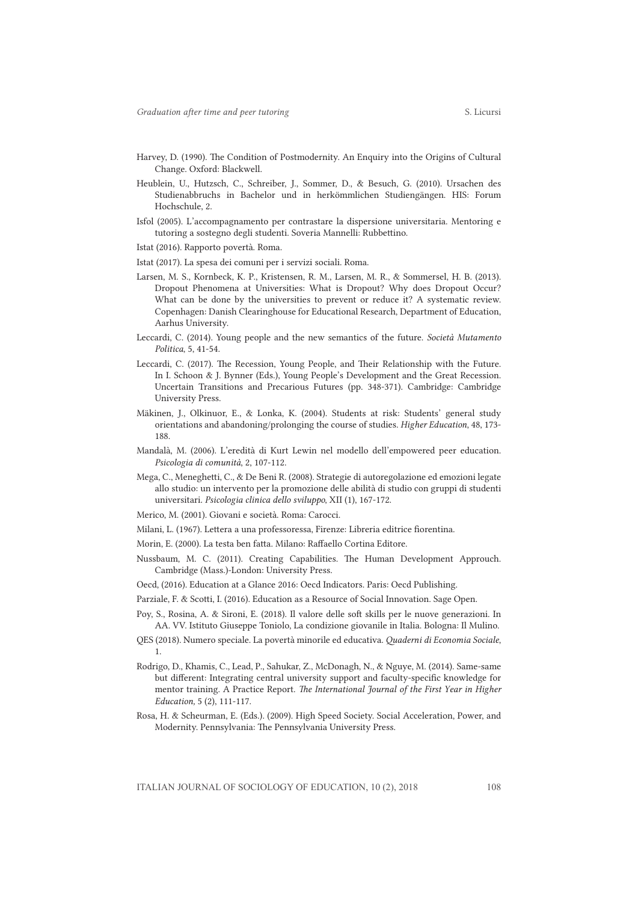- Harvey, D. (1990). The Condition of Postmodernity. An Enquiry into the Origins of Cultural Change. Oxford: Blackwell.
- Heublein, U., Hutzsch, C., Schreiber, J., Sommer, D., & Besuch, G. (2010). Ursachen des Studienabbruchs in Bachelor und in herkömmlichen Studiengängen. HIS: Forum Hochschule, 2.
- Isfol (2005). L'accompagnamento per contrastare la dispersione universitaria. Mentoring e tutoring a sostegno degli studenti. Soveria Mannelli: Rubbettino.
- Istat (2016). Rapporto povertà. Roma.
- Istat (2017). La spesa dei comuni per i servizi sociali. Roma.
- Larsen, M. S., Kornbeck, K. P., Kristensen, R. M., Larsen, M. R., & Sommersel, H. B. (2013). Dropout Phenomena at Universities: What is Dropout? Why does Dropout Occur? What can be done by the universities to prevent or reduce it? A systematic review. Copenhagen: Danish Clearinghouse for Educational Research, Department of Education, Aarhus University.
- Leccardi, C. (2014). Young people and the new semantics of the future. *Società Mutamento Politica*, 5, 41-54.
- Leccardi, C. (2017). The Recession, Young People, and Their Relationship with the Future. In I. Schoon & J. Bynner (Eds.), Young People's Development and the Great Recession. Uncertain Transitions and Precarious Futures (pp. 348-371). Cambridge: Cambridge University Press.
- Mäkinen, J., Olkinuor, E., & Lonka, K. (2004). Students at risk: Students' general study orientations and abandoning/prolonging the course of studies. *Higher Education*, 48, 173- 188.
- Mandalà, M. (2006). L'eredità di Kurt Lewin nel modello dell'empowered peer education. *Psicologia di comunità*, 2, 107-112.
- Mega, C., Meneghetti, C., & De Beni R. (2008). Strategie di autoregolazione ed emozioni legate allo studio: un intervento per la promozione delle abilità di studio con gruppi di studenti universitari*. Psicologia clinica dello sviluppo*, XII (1), 167-172.
- Merico, M. (2001). Giovani e società. Roma: Carocci.
- Milani, L. (1967). Lettera a una professoressa, Firenze: Libreria editrice fiorentina.
- Morin, E. (2000). La testa ben fatta. Milano: Raffaello Cortina Editore.
- Nussbaum, M. C. (2011). Creating Capabilities. The Human Development Approuch. Cambridge (Mass.)-London: University Press.
- Oecd, (2016). Education at a Glance 2016: Oecd Indicators. Paris: Oecd Publishing.
- Parziale, F. & Scotti, I. (2016). Education as a Resource of Social Innovation. Sage Open.
- Poy, S., Rosina, A. & Sironi, E. (2018). Il valore delle soft skills per le nuove generazioni. In AA. VV. Istituto Giuseppe Toniolo, La condizione giovanile in Italia. Bologna: Il Mulino.
- QES (2018). Numero speciale. La povertà minorile ed educativa. *Quaderni di Economia Sociale*, 1.
- Rodrigo, D., Khamis, C., Lead, P., Sahukar, Z., McDonagh, N., & Nguye, M. (2014). Same‐same but different: Integrating central university support and faculty‐specific knowledge for mentor training. A Practice Report. *The International Journal of the First Year in Higher Education,* 5 (2), 111‐117.
- Rosa, H. & Scheurman, E. (Eds.). (2009). High Speed Society. Social Acceleration, Power, and Modernity. Pennsylvania: The Pennsylvania University Press.